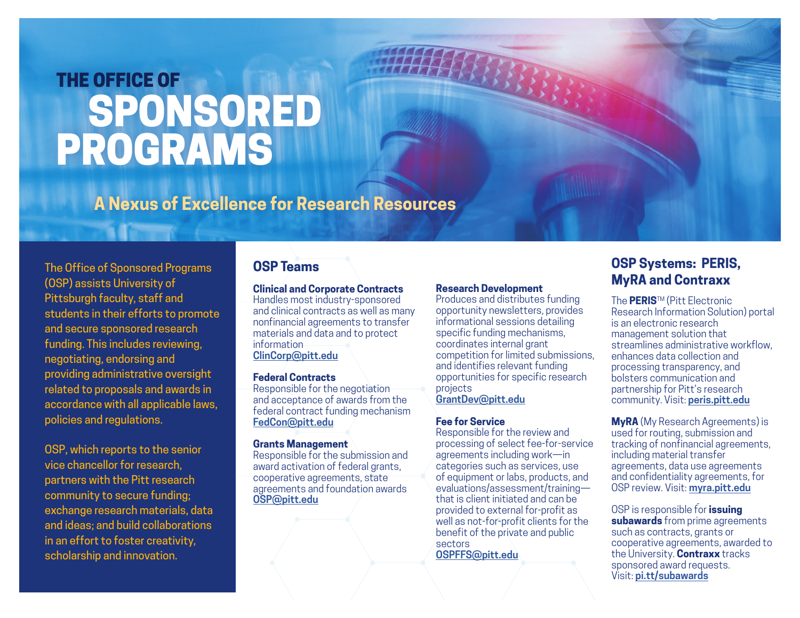# THE OFFICE OF SPONSORED PROGRAMS

**A Nexus of Excellence for Research Resources**

The Office of Sponsored Programs (OSP) assists University of Pittsburgh faculty, staff and students in their efforts to promote and secure sponsored research funding. This includes reviewing, negotiating, endorsing and providing administrative oversight related to proposals and awards in accordance with all applicable laws, policies and regulations.

OSP, which reports to the senior vice chancellor for research, partners with the Pitt research community to secure funding; exchange research materials, data and ideas; and build collaborations in an effort to foster creativity, scholarship and innovation.

### **OSP Teams**

#### **Clinical and Corporate Contracts**

Handles most industry-sponsored and clinical contracts as well as many nonfinancial agreements to transfer materials and data and to protect information **[C](mailto:ClinCorp@pitt.edu)[linCorp@pitt.edu](ClinCorp@pitt.edu)**

#### **Federal Contracts**

Responsible for the negotiation and acceptance of awards from the federal contract funding mechanism **[FedCon@pitt.edu](mailto:FedCon@pitt.edu)**

#### **Grants Management**

Responsible for the submission and award activation of federal grants, cooperative agreements, state agreements and foundation awards **[OSP@pitt.edu](mailto:OSP@pitt.edu)**

#### **Research Development**

Produces and distributes funding opportunity newsletters, provides informational sessions detailing specific funding mechanisms, coordinates internal grant competition for limited submissions, and identifies relevant funding opportunities for specific research projects

**[GrantDev@pitt.edu](mailto:GrantDev@pitt.edu)**

#### **Fee for Service**

Responsible for the review and processing of select fee-for-service agreements including work—in categories such as services, use of equipment or labs, products, and evaluations/assessment/training that is client initiated and can be provided to external for-profit as well as not-for-profit clients for the benefit of the private and public sectors **[OSPFFS@pitt.edu](mailto:OSPFFS@pitt.edu)**

**OSP Systems: PERIS, MyRA and Contraxx**

The **PERIS**TM (Pitt Electronic Research Information Solution) portal is an electronic research management solution that streamlines administrative workflow, enhances data collection and processing transparency, and bolsters communication and partnership for Pitt's research community. Visit: **<peris.pitt.edu>** 

**MyRA** (My Research Agreements) is used for routing, submission and tracking of nonfinancial agreements, including material transfer agreements, data use agreements and confidentiality agreements, for OSP review. Visit: **<myra.pitt.edu>**

OSP is responsible for **issuing subawards** from prime agreements such as contracts, grants or cooperative agreements, awarded to the University. **Contraxx** tracks sponsored award requests. Visit: **[pi.tt/subawards](http://pi.tt/subawards)**